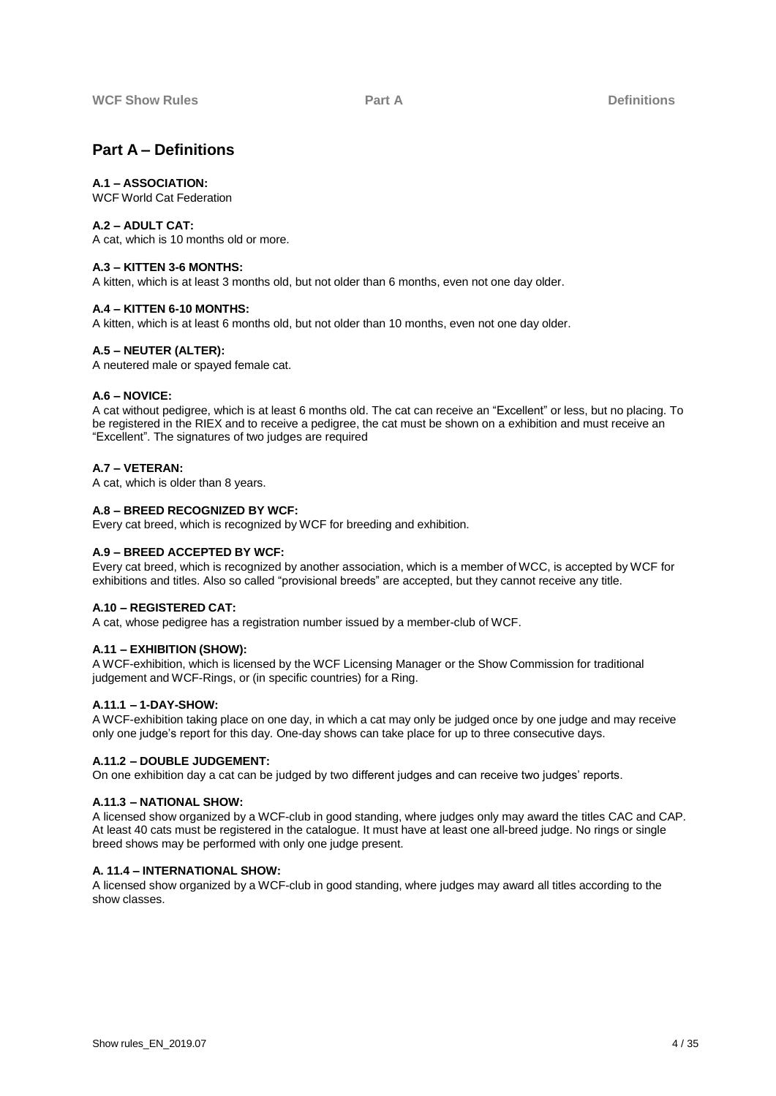# **Part A – Definitions**

## **A.1 – ASSOCIATION:**

WCF World Cat Federation

## **A.2 – ADULT CAT:**

A cat, which is 10 months old or more.

## **A.3 – KITTEN 3-6 MONTHS:**

A kitten, which is at least 3 months old, but not older than 6 months, even not one day older.

## **A.4 – KITTEN 6-10 MONTHS:**

A kitten, which is at least 6 months old, but not older than 10 months, even not one day older.

## **A.5 – NEUTER (ALTER):**

A neutered male or spayed female cat.

## **A.6 – NOVICE:**

A cat without pedigree, which is at least 6 months old. The cat can receive an "Excellent" or less, but no placing. To be registered in the RIEX and to receive a pedigree, the cat must be shown on a exhibition and must receive an "Excellent". The signatures of two judges are required

## **A.7 – VETERAN:**

A cat, which is older than 8 years.

## **A.8 – BREED RECOGNIZED BY WCF:**

Every cat breed, which is recognized by WCF for breeding and exhibition.

## **A.9 – BREED ACCEPTED BY WCF:**

Every cat breed, which is recognized by another association, which is a member of WCC, is accepted by WCF for exhibitions and titles. Also so called "provisional breeds" are accepted, but they cannot receive any title.

## **A.10 – REGISTERED CAT:**

A cat, whose pedigree has a registration number issued by a member-club of WCF.

## **A.11 – EXHIBITION (SHOW):**

A WCF-exhibition, which is licensed by the WCF Licensing Manager or the Show Commission for traditional judgement and WCF-Rings, or (in specific countries) for a Ring.

## **A.11.1 – 1-DAY-SHOW:**

A WCF-exhibition taking place on one day, in which a cat may only be judged once by one judge and may receive only one judge's report for this day. One-day shows can take place for up to three consecutive days.

## **A.11.2 – DOUBLE JUDGEMENT:**

On one exhibition day a cat can be judged by two different judges and can receive two judges' reports.

## **A.11.3 – NATIONAL SHOW:**

A licensed show organized by a WCF-club in good standing, where judges only may award the titles CAC and CAP. At least 40 cats must be registered in the catalogue. It must have at least one all-breed judge. No rings or single breed shows may be performed with only one judge present.

## **A. 11.4 – INTERNATIONAL SHOW:**

A licensed show organized by a WCF-club in good standing, where judges may award all titles according to the show classes.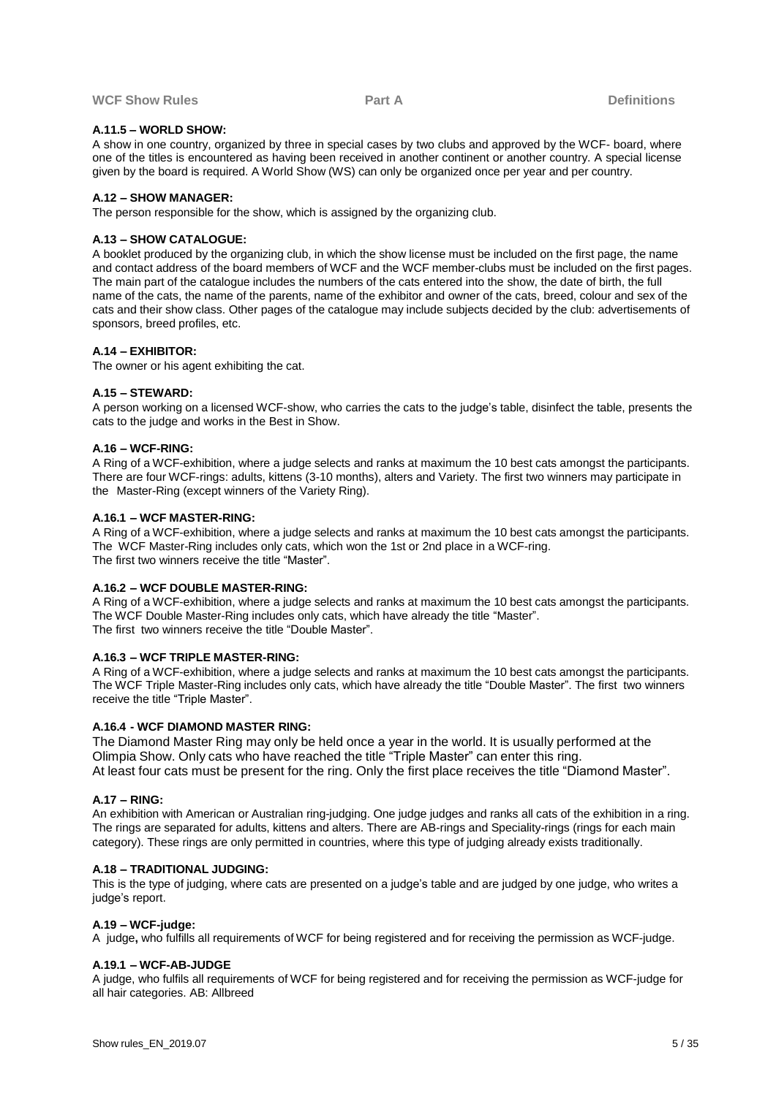#### **A.11.5 – WORLD SHOW:**

A show in one country, organized by three in special cases by two clubs and approved by the WCF- board, where one of the titles is encountered as having been received in another continent or another country. A special license given by the board is required. A World Show (WS) can only be organized once per year and per country.

#### **A.12 – SHOW MANAGER:**

The person responsible for the show, which is assigned by the organizing club.

## **A.13 – SHOW CATALOGUE:**

A booklet produced by the organizing club, in which the show license must be included on the first page, the name and contact address of the board members of WCF and the WCF member-clubs must be included on the first pages. The main part of the catalogue includes the numbers of the cats entered into the show, the date of birth, the full name of the cats, the name of the parents, name of the exhibitor and owner of the cats, breed, colour and sex of the cats and their show class. Other pages of the catalogue may include subjects decided by the club: advertisements of sponsors, breed profiles, etc.

## **A.14 – EXHIBITOR:**

The owner or his agent exhibiting the cat.

## **A.15 – STEWARD:**

A person working on a licensed WCF-show, who carries the cats to the judge's table, disinfect the table, presents the cats to the judge and works in the Best in Show.

### **A.16 – WCF-RING:**

A Ring of a WCF-exhibition, where a judge selects and ranks at maximum the 10 best cats amongst the participants. There are four WCF-rings: adults, kittens (3-10 months), alters and Variety. The first two winners may participate in the Master-Ring (except winners of the Variety Ring).

#### **A.16.1 – WCF MASTER-RING:**

A Ring of a WCF-exhibition, where a judge selects and ranks at maximum the 10 best cats amongst the participants. The WCF Master-Ring includes only cats, which won the 1st or 2nd place in a WCF-ring. The first two winners receive the title "Master".

#### **A.16.2 – WCF DOUBLE MASTER-RING:**

A Ring of a WCF-exhibition, where a judge selects and ranks at maximum the 10 best cats amongst the participants. The WCF Double Master-Ring includes only cats, which have already the title "Master". The first two winners receive the title "Double Master".

## **A.16.3 – WCF TRIPLE MASTER-RING:**

A Ring of a WCF-exhibition, where a judge selects and ranks at maximum the 10 best cats amongst the participants. The WCF Triple Master-Ring includes only cats, which have already the title "Double Master". The first two winners receive the title "Triple Master".

## **A.16.4 - WCF DIAMOND MASTER RING:**

The Diamond Master Ring may only be held once a year in the world. It is usually performed at the Olimpia Show. Only cats who have reached the title "Triple Master" can enter this ring. At least four cats must be present for the ring. Only the first place receives the title "Diamond Master".

## **A.17 – RING:**

An exhibition with American or Australian ring-judging. One judge judges and ranks all cats of the exhibition in a ring. The rings are separated for adults, kittens and alters. There are AB-rings and Speciality-rings (rings for each main category). These rings are only permitted in countries, where this type of judging already exists traditionally.

#### **A.18 – TRADITIONAL JUDGING:**

This is the type of judging, where cats are presented on a judge's table and are judged by one judge, who writes a judge's report.

#### **A.19 – WCF-judge:**

A judge**,** who fulfills all requirements of WCF for being registered and for receiving the permission as WCF-judge.

#### **A.19.1 – WCF-AB-JUDGE**

A judge, who fulfils all requirements of WCF for being registered and for receiving the permission as WCF-judge for all hair categories. AB: Allbreed